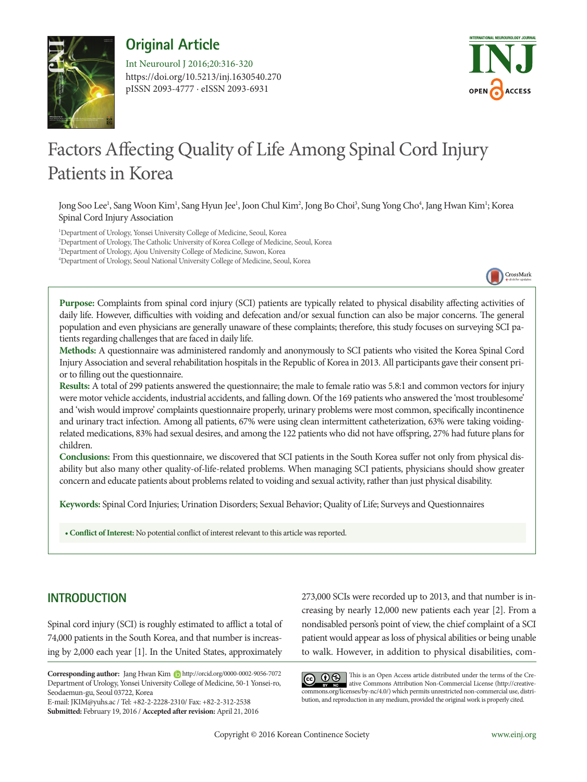

**Original Article**

https://doi.org/10.5213/inj.1630540.270 pISSN 2093-4777 · eISSN 2093-6931 Int Neurourol J 2016;20:316-320



# Factors Affecting Quality of Life Among Spinal Cord Injury Patients in Korea

Jong Soo Lee<sup>1</sup>, Sang Woon Kim<sup>1</sup>, Sang Hyun Jee<sup>1</sup>, Joon Chul Kim<sup>2</sup>, Jong Bo Choi<sup>3</sup>, Sung Yong Cho<sup>4</sup>, Jang Hwan Kim<sup>1</sup>; Korea Spinal Cord Injury Association

 Department of Urology, Yonsei University College of Medicine, Seoul, Korea Department of Urology, The Catholic University of Korea College of Medicine, Seoul, Korea Department of Urology, Ajou University College of Medicine, Suwon, Korea Department of Urology, Seoul National University College of Medicine, Seoul, Korea



**Purpose:** Complaints from spinal cord injury (SCI) patients are typically related to physical disability affecting activities of daily life. However, difficulties with voiding and defecation and/or sexual function can also be major concerns. The general population and even physicians are generally unaware of these complaints; therefore, this study focuses on surveying SCI patients regarding challenges that are faced in daily life.

**Methods:** A questionnaire was administered randomly and anonymously to SCI patients who visited the Korea Spinal Cord Injury Association and several rehabilitation hospitals in the Republic of Korea in 2013. All participants gave their consent prior to filling out the questionnaire.

**Results:** A total of 299 patients answered the questionnaire; the male to female ratio was 5.8:1 and common vectors for injury were motor vehicle accidents, industrial accidents, and falling down. Of the 169 patients who answered the 'most troublesome' and 'wish would improve' complaints questionnaire properly, urinary problems were most common, specifically incontinence and urinary tract infection. Among all patients, 67% were using clean intermittent catheterization, 63% were taking voidingrelated medications, 83% had sexual desires, and among the 122 patients who did not have offspring, 27% had future plans for children.

**Conclusions:** From this questionnaire, we discovered that SCI patients in the South Korea suffer not only from physical disability but also many other quality-of-life-related problems. When managing SCI patients, physicians should show greater concern and educate patients about problems related to voiding and sexual activity, rather than just physical disability.

**Keywords:** Spinal Cord Injuries; Urination Disorders; Sexual Behavior; Quality of Life; Surveys and Questionnaires

**• Conflict of Interest:** No potential conflict of interest relevant to this article was reported.

# **INTRODUCTION**

Spinal cord injury (SCI) is roughly estimated to afflict a total of 74,000 patients in the South Korea, and that number is increasing by 2,000 each year [1]. In the United States, approximately

E-mail: JKIM@yuhs.ac / Tel: +82-2-2228-2310/ Fax: +82-2-312-2538 **Submitted:** February 19, 2016 / **Accepted after revision:** April 21, 2016 273,000 SCIs were recorded up to 2013, and that number is increasing by nearly 12,000 new patients each year [2]. From a nondisabled person's point of view, the chief complaint of a SCI patient would appear as loss of physical abilities or being unable to walk. However, in addition to physical disabilities, com-

This is an Open Access article distributed under the terms of the Creative Commons Attribution Non-Commercial License (http://creativecommons.org/licenses/by-nc/4.0/) which permits unrestricted non-commercial use, distribution, and reproduction in any medium, provided the original work is properly cited.

Corresponding author: Jang Hwan Kim **b** http://orcid.org/0000-0002-9056-7072 Department of Urology, Yonsei University College of Medicine, 50-1 Yonsei-ro, Seodaemun-gu, Seoul 03722, Korea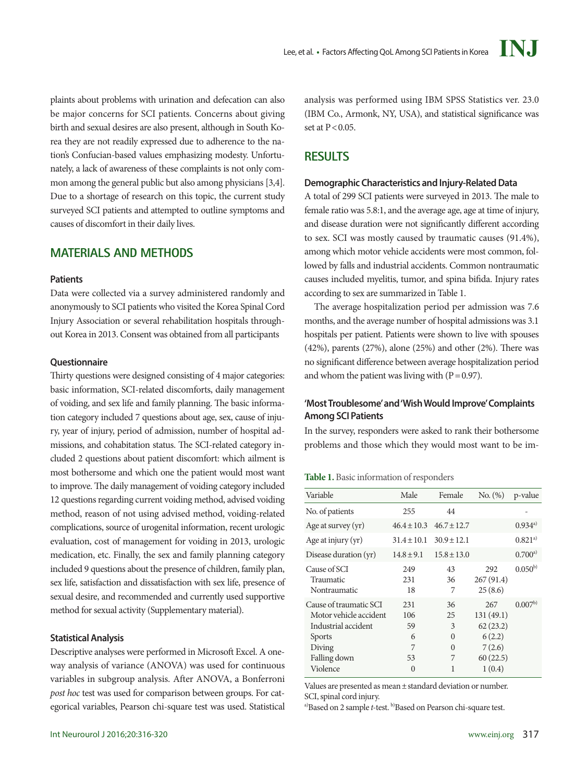plaints about problems with urination and defecation can also be major concerns for SCI patients. Concerns about giving birth and sexual desires are also present, although in South Korea they are not readily expressed due to adherence to the nation's Confucian-based values emphasizing modesty. Unfortunately, a lack of awareness of these complaints is not only common among the general public but also among physicians [3,4]. Due to a shortage of research on this topic, the current study surveyed SCI patients and attempted to outline symptoms and causes of discomfort in their daily lives.

## **MATERIALS AND METHODS**

#### **Patients**

Data were collected via a survey administered randomly and anonymously to SCI patients who visited the Korea Spinal Cord Injury Association or several rehabilitation hospitals throughout Korea in 2013. Consent was obtained from all participants

#### **Questionnaire**

Thirty questions were designed consisting of 4 major categories: basic information, SCI-related discomforts, daily management of voiding, and sex life and family planning. The basic information category included 7 questions about age, sex, cause of injury, year of injury, period of admission, number of hospital admissions, and cohabitation status. The SCI-related category included 2 questions about patient discomfort: which ailment is most bothersome and which one the patient would most want to improve. The daily management of voiding category included 12 questions regarding current voiding method, advised voiding method, reason of not using advised method, voiding-related complications, source of urogenital information, recent urologic evaluation, cost of management for voiding in 2013, urologic medication, etc. Finally, the sex and family planning category included 9 questions about the presence of children, family plan, sex life, satisfaction and dissatisfaction with sex life, presence of sexual desire, and recommended and currently used supportive method for sexual activity (Supplementary material).

## **Statistical Analysis**

Descriptive analyses were performed in Microsoft Excel. A oneway analysis of variance (ANOVA) was used for continuous variables in subgroup analysis. After ANOVA, a Bonferroni *post hoc* test was used for comparison between groups. For categorical variables, Pearson chi-square test was used. Statistical

analysis was performed using IBM SPSS Statistics ver. 23.0 (IBM Co., Armonk, NY, USA), and statistical significance was set at  $P < 0.05$ .

# **RESULTS**

## **Demographic Characteristics and Injury-Related Data**

A total of 299 SCI patients were surveyed in 2013. The male to female ratio was 5.8:1, and the average age, age at time of injury, and disease duration were not significantly different according to sex. SCI was mostly caused by traumatic causes (91.4%), among which motor vehicle accidents were most common, followed by falls and industrial accidents. Common nontraumatic causes included myelitis, tumor, and spina bifida. Injury rates according to sex are summarized in Table 1.

The average hospitalization period per admission was 7.6 months, and the average number of hospital admissions was 3.1 hospitals per patient. Patients were shown to live with spouses (42%), parents (27%), alone (25%) and other (2%). There was no significant difference between average hospitalization period and whom the patient was living with  $(P=0.97)$ .

## **'Most Troublesome' and 'Wish Would Improve' Complaints Among SCI Patients**

In the survey, responders were asked to rank their bothersome problems and those which they would most want to be im-

## **Table 1.** Basic information of responders

| Variable                                                                                                                       | Male                                  | Female                                          | No. (%)                                                                | p-value            |
|--------------------------------------------------------------------------------------------------------------------------------|---------------------------------------|-------------------------------------------------|------------------------------------------------------------------------|--------------------|
| No. of patients                                                                                                                | 255                                   | 44                                              |                                                                        |                    |
| Age at survey (yr)                                                                                                             | $46.4 \pm 10.3$                       | $46.7 \pm 12.7$                                 |                                                                        | 0.934a)            |
| Age at injury $(yr)$                                                                                                           | $31.4 \pm 10.1$                       | $30.9 \pm 12.1$                                 |                                                                        | $0.821^{a}$        |
| Disease duration (yr)                                                                                                          | $14.8 \pm 9.1$                        | $15.8 \pm 13.0$                                 |                                                                        | $0.700^{a}$        |
| Cause of SCI<br>Traumatic<br>Nontraumatic                                                                                      | 249<br>231<br>18                      | 43<br>36<br>7                                   | 292<br>267(91.4)<br>25(8.6)                                            | $0.050^{b}$        |
| Cause of traumatic SCI<br>Motor vehicle accident<br>Industrial accident<br><b>Sports</b><br>Diving<br>Falling down<br>Violence | 231<br>106<br>59<br>6<br>7<br>53<br>0 | 36<br>25<br>3<br>$\Omega$<br>$\Omega$<br>7<br>1 | 267<br>131(49.1)<br>62(23.2)<br>6(2.2)<br>7(2.6)<br>60(22.5)<br>1(0.4) | 0.007 <sup>b</sup> |

Values are presented as mean±standard deviation or number. SCI, spinal cord injury. a)Based on 2 sample *t*-test. b)Based on Pearson chi-square test.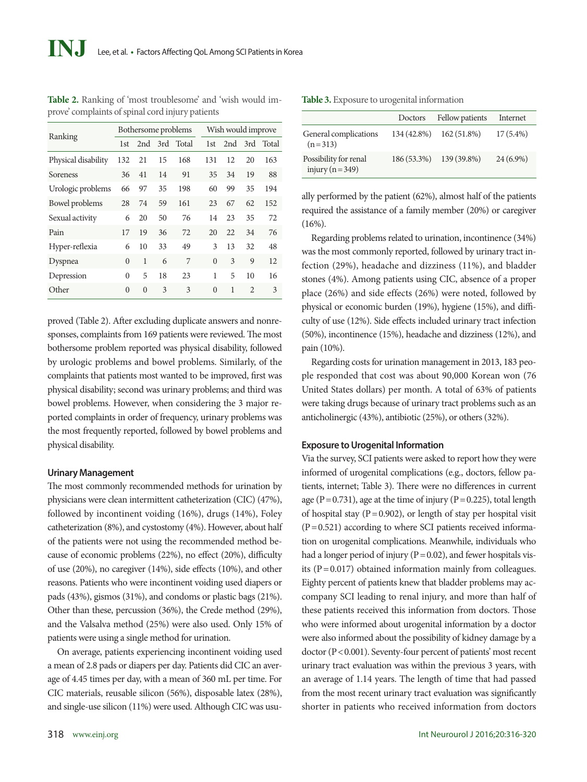| Ranking             | Bothersome problems |          |           |       | Wish would improve |     |                |       |
|---------------------|---------------------|----------|-----------|-------|--------------------|-----|----------------|-------|
|                     | 1st                 |          | $2nd$ 3rd | Total | 1st                | 2nd | 3rd            | Total |
| Physical disability | 132                 | 21       | 15        | 168   | 131                | 12  | 20             | 163   |
| Soreness            | 36                  | 41       | 14        | 91    | 35                 | 34  | 19             | 88    |
| Urologic problems   | 66                  | 97       | 35        | 198   | 60                 | 99  | 35             | 194   |
| Bowel problems      | 28                  | 74       | 59        | 161   | 23                 | 67  | 62             | 152   |
| Sexual activity     | 6                   | 20       | 50        | 76    | 14                 | 23  | 35             | 72    |
| Pain                | 17                  | 19       | 36        | 72    | 20                 | 22  | 34             | 76    |
| Hyper-reflexia      | 6                   | 10       | 33        | 49    | 3                  | 13  | 32             | 48    |
| Dyspnea             | $\Omega$            | 1        | 6         | 7     | $\Omega$           | 3   | 9              | 12    |
| Depression          | 0                   | 5        | 18        | 23    | 1                  | 5   | 10             | 16    |
| Other               | $\Omega$            | $\Omega$ | 3         | 3     | $\Omega$           | 1   | $\mathfrak{D}$ | 3     |

**Table 2.** Ranking of 'most troublesome' and 'wish would improve' complaints of spinal cord injury patients

proved (Table 2). After excluding duplicate answers and nonresponses, complaints from 169 patients were reviewed. The most bothersome problem reported was physical disability, followed by urologic problems and bowel problems. Similarly, of the complaints that patients most wanted to be improved, first was physical disability; second was urinary problems; and third was bowel problems. However, when considering the 3 major reported complaints in order of frequency, urinary problems was the most frequently reported, followed by bowel problems and physical disability.

#### **Urinary Management**

The most commonly recommended methods for urination by physicians were clean intermittent catheterization (CIC) (47%), followed by incontinent voiding (16%), drugs (14%), Foley catheterization (8%), and cystostomy (4%). However, about half of the patients were not using the recommended method because of economic problems (22%), no effect (20%), difficulty of use (20%), no caregiver (14%), side effects (10%), and other reasons. Patients who were incontinent voiding used diapers or pads (43%), gismos (31%), and condoms or plastic bags (21%). Other than these, percussion (36%), the Crede method (29%), and the Valsalva method (25%) were also used. Only 15% of patients were using a single method for urination.

On average, patients experiencing incontinent voiding used a mean of 2.8 pads or diapers per day. Patients did CIC an average of 4.45 times per day, with a mean of 360 mL per time. For CIC materials, reusable silicon (56%), disposable latex (28%), and single-use silicon (11%) were used. Although CIC was usu-

318 www.einj.org

|                                               | Doctors     | Fellow patients         | Internet    |
|-----------------------------------------------|-------------|-------------------------|-------------|
| General complications<br>$(n=313)$            | 134 (42.8%) | 162 (51.8%)             | $17(5.4\%)$ |
| Possibility for renal<br>injury ( $n = 349$ ) |             | 186 (53.3%) 139 (39.8%) | $24(6.9\%)$ |

ally performed by the patient (62%), almost half of the patients required the assistance of a family member (20%) or caregiver  $(16\%)$ .

Regarding problems related to urination, incontinence (34%) was the most commonly reported, followed by urinary tract infection (29%), headache and dizziness (11%), and bladder stones (4%). Among patients using CIC, absence of a proper place (26%) and side effects (26%) were noted, followed by physical or economic burden (19%), hygiene (15%), and difficulty of use (12%). Side effects included urinary tract infection (50%), incontinence (15%), headache and dizziness (12%), and pain (10%).

Regarding costs for urination management in 2013, 183 people responded that cost was about 90,000 Korean won (76 United States dollars) per month. A total of 63% of patients were taking drugs because of urinary tract problems such as an anticholinergic (43%), antibiotic (25%), or others (32%).

#### **Exposure to Urogenital Information**

Via the survey, SCI patients were asked to report how they were informed of urogenital complications (e.g., doctors, fellow patients, internet; Table 3). There were no differences in current age (P=0.731), age at the time of injury (P=0.225), total length of hospital stay ( $P = 0.902$ ), or length of stay per hospital visit  $(P=0.521)$  according to where SCI patients received information on urogenital complications. Meanwhile, individuals who had a longer period of injury ( $P = 0.02$ ), and fewer hospitals visits ( $P = 0.017$ ) obtained information mainly from colleagues. Eighty percent of patients knew that bladder problems may accompany SCI leading to renal injury, and more than half of these patients received this information from doctors. Those who were informed about urogenital information by a doctor were also informed about the possibility of kidney damage by a doctor (P < 0.001). Seventy-four percent of patients' most recent urinary tract evaluation was within the previous 3 years, with an average of 1.14 years. The length of time that had passed from the most recent urinary tract evaluation was significantly shorter in patients who received information from doctors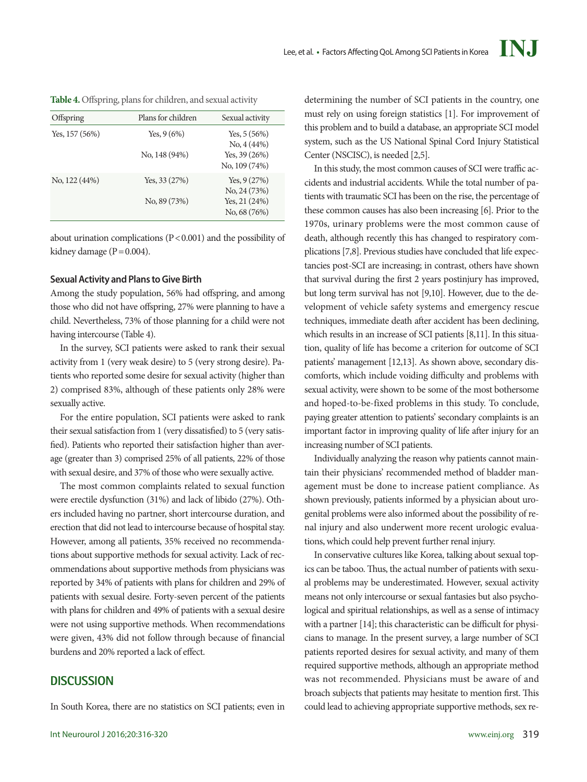**Table 4.** Offspring, plans for children, and sexual activity

| Offspring       | Plans for children             | Sexual activity                                                |
|-----------------|--------------------------------|----------------------------------------------------------------|
| Yes, $157(56%)$ | Yes, $9(6%)$<br>No, 148 (94%)  | Yes, $5(56%)$<br>No, 4(44%)<br>Yes, $39(26%)$<br>No, 109 (74%) |
| No, 122 (44%)   | Yes, $33(27%)$<br>No, 89 (73%) | Yes, $9(27%)$<br>No. 24 (73%)<br>Yes, $21(24%)$                |
|                 |                                | No, 68 (76%)                                                   |

about urination complications (P<0.001) and the possibility of kidney damage  $(P=0.004)$ .

## **Sexual Activity and Plans to Give Birth**

Among the study population, 56% had offspring, and among those who did not have offspring, 27% were planning to have a child. Nevertheless, 73% of those planning for a child were not having intercourse (Table 4).

In the survey, SCI patients were asked to rank their sexual activity from 1 (very weak desire) to 5 (very strong desire). Patients who reported some desire for sexual activity (higher than 2) comprised 83%, although of these patients only 28% were sexually active.

For the entire population, SCI patients were asked to rank their sexual satisfaction from 1 (very dissatisfied) to 5 (very satisfied). Patients who reported their satisfaction higher than average (greater than 3) comprised 25% of all patients, 22% of those with sexual desire, and 37% of those who were sexually active.

The most common complaints related to sexual function were erectile dysfunction (31%) and lack of libido (27%). Others included having no partner, short intercourse duration, and erection that did not lead to intercourse because of hospital stay. However, among all patients, 35% received no recommendations about supportive methods for sexual activity. Lack of recommendations about supportive methods from physicians was reported by 34% of patients with plans for children and 29% of patients with sexual desire. Forty-seven percent of the patients with plans for children and 49% of patients with a sexual desire were not using supportive methods. When recommendations were given, 43% did not follow through because of financial burdens and 20% reported a lack of effect.

# **DISCUSSION**

In South Korea, there are no statistics on SCI patients; even in

determining the number of SCI patients in the country, one must rely on using foreign statistics [1]. For improvement of this problem and to build a database, an appropriate SCI model system, such as the US National Spinal Cord Injury Statistical Center (NSCISC), is needed [2,5].

In this study, the most common causes of SCI were traffic accidents and industrial accidents. While the total number of patients with traumatic SCI has been on the rise, the percentage of these common causes has also been increasing [6]. Prior to the 1970s, urinary problems were the most common cause of death, although recently this has changed to respiratory complications [7,8]. Previous studies have concluded that life expectancies post-SCI are increasing; in contrast, others have shown that survival during the first 2 years postinjury has improved, but long term survival has not [9,10]. However, due to the development of vehicle safety systems and emergency rescue techniques, immediate death after accident has been declining, which results in an increase of SCI patients [8,11]. In this situation, quality of life has become a criterion for outcome of SCI patients' management [12,13]. As shown above, secondary discomforts, which include voiding difficulty and problems with sexual activity, were shown to be some of the most bothersome and hoped-to-be-fixed problems in this study. To conclude, paying greater attention to patients' secondary complaints is an important factor in improving quality of life after injury for an increasing number of SCI patients.

Individually analyzing the reason why patients cannot maintain their physicians' recommended method of bladder management must be done to increase patient compliance. As shown previously, patients informed by a physician about urogenital problems were also informed about the possibility of renal injury and also underwent more recent urologic evaluations, which could help prevent further renal injury.

In conservative cultures like Korea, talking about sexual topics can be taboo. Thus, the actual number of patients with sexual problems may be underestimated. However, sexual activity means not only intercourse or sexual fantasies but also psychological and spiritual relationships, as well as a sense of intimacy with a partner [14]; this characteristic can be difficult for physicians to manage. In the present survey, a large number of SCI patients reported desires for sexual activity, and many of them required supportive methods, although an appropriate method was not recommended. Physicians must be aware of and broach subjects that patients may hesitate to mention first. This could lead to achieving appropriate supportive methods, sex re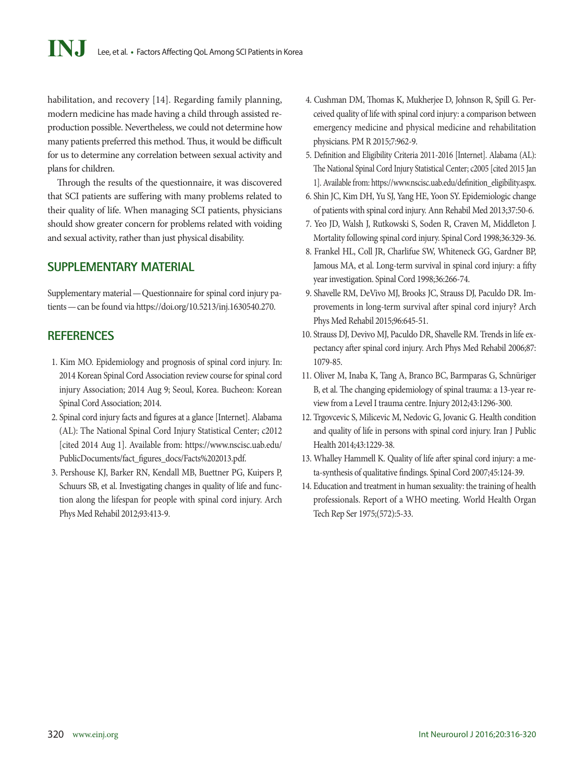habilitation, and recovery [14]. Regarding family planning, modern medicine has made having a child through assisted reproduction possible. Nevertheless, we could not determine how many patients preferred this method. Thus, it would be difficult for us to determine any correlation between sexual activity and plans for children.

Through the results of the questionnaire, it was discovered that SCI patients are suffering with many problems related to their quality of life. When managing SCI patients, physicians should show greater concern for problems related with voiding and sexual activity, rather than just physical disability.

# **SUPPLEMENTARY MATERIAL**

Supplementary material—Questionnaire for spinal cord injury patients—can be found via https://doi.org/10.5213/inj.1630540.270.

# **REFERENCES**

- 1. Kim MO. Epidemiology and prognosis of spinal cord injury. In: 2014 Korean Spinal Cord Association review course for spinal cord injury Association; 2014 Aug 9; Seoul, Korea. Bucheon: Korean Spinal Cord Association; 2014.
- 2. Spinal cord injury facts and figures at a glance [Internet]. Alabama (AL): The National Spinal Cord Injury Statistical Center; c2012 [cited 2014 Aug 1]. Available from: [https://www.nscisc.uab.edu/](https://www.nscisc.uab.edu/PublicDocuments/fact_figures_docs/Facts%202013.pdf) [PublicDocuments/fact\\_figures\\_docs/Facts%202013.pdf](https://www.nscisc.uab.edu/PublicDocuments/fact_figures_docs/Facts%202013.pdf).
- 3. Pershouse KJ, Barker RN, Kendall MB, Buettner PG, Kuipers P, Schuurs SB, et al. Investigating changes in quality of life and function along the lifespan for people with spinal cord injury. Arch Phys Med Rehabil 2012;93:413-9.
- 4. Cushman DM, Thomas K, Mukherjee D, Johnson R, Spill G. Perceived quality of life with spinal cord injury: a comparison between emergency medicine and physical medicine and rehabilitation physicians. PM R 2015;7:962-9.
- 5. Definition and Eligibility Criteria 2011-2016 [Internet]. Alabama (AL): The National Spinal Cord Injury Statistical Center; c2005 [cited 2015 Jan 1]. Available from: [https://www.nscisc.uab.edu/definition\\_eligibility.aspx.](https://www.nscisc.uab.edu/definition_eligibility.aspx.)
- 6. Shin JC, Kim DH, Yu SJ, Yang HE, Yoon SY. Epidemiologic change of patients with spinal cord injury. Ann Rehabil Med 2013;37:50-6.
- 7. Yeo JD, Walsh J, Rutkowski S, Soden R, Craven M, Middleton J. Mortality following spinal cord injury. Spinal Cord 1998;36:329-36.
- 8. Frankel HL, Coll JR, Charlifue SW, Whiteneck GG, Gardner BP, Jamous MA, et al. Long-term survival in spinal cord injury: a fifty year investigation. Spinal Cord 1998;36:266-74.
- 9. Shavelle RM, DeVivo MJ, Brooks JC, Strauss DJ, Paculdo DR. Improvements in long-term survival after spinal cord injury? Arch Phys Med Rehabil 2015;96:645-51.
- 10. Strauss DJ, Devivo MJ, Paculdo DR, Shavelle RM. Trends in life expectancy after spinal cord injury. Arch Phys Med Rehabil 2006;87: 1079-85.
- 11. Oliver M, Inaba K, Tang A, Branco BC, Barmparas G, Schnüriger B, et al. The changing epidemiology of spinal trauma: a 13-year review from a Level I trauma centre. Injury 2012;43:1296-300.
- 12. Trgovcevic S, Milicevic M, Nedovic G, Jovanic G. Health condition and quality of life in persons with spinal cord injury. Iran J Public Health 2014;43:1229-38.
- 13. Whalley Hammell K. Quality of life after spinal cord injury: a meta-synthesis of qualitative findings. Spinal Cord 2007;45:124-39.
- 14. Education and treatment in human sexuality: the training of health professionals. Report of a WHO meeting. World Health Organ Tech Rep Ser 1975;(572):5-33.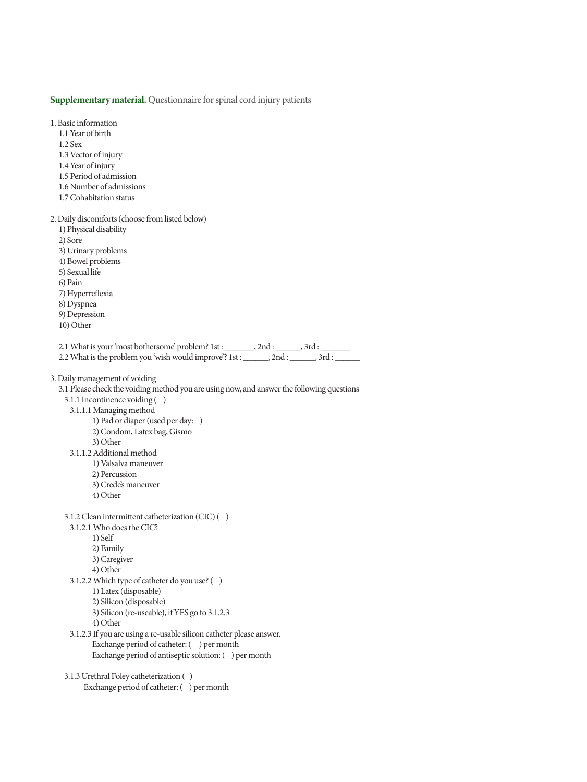#### **Supplementary material.** Questionnaire for spinal cord injury patients

1. Basic information 1.1 Year of birth 1.2 Sex 1.3 Vector of injury 1.4 Year of injury 1.5 Period of admission 1.6 Number of admissions 1.7 Cohabitation status 2. Daily discomforts (choose from listed below) 1) Physical disability 2) Sore 3) Urinary problems 4) Bowel problems 5) Sexual life 6) Pain 7) Hyperreflexia 8) Dyspnea 9) Depression 10) Other 2.1 What is your 'most bothersome' problem? 1st : \_\_\_\_\_\_\_, 2nd : \_\_\_\_\_\_, 3rd : 2.2 What is the problem you 'wish would improve'? 1st : \_\_\_\_\_\_, 2nd : \_\_\_\_\_\_, 3rd : 3. Daily management of voiding 3.1 Please check the voiding method you are using now, and answer the following questions 3.1.1 Incontinence voiding ( ) 3.1.1.1 Managing method 1) Pad or diaper (used per day: ) 2) Condom, Latex bag, Gismo 3) Other 3.1.1.2 Additional method 1) Valsalva maneuver 2) Percussion 3) Crede's maneuver 4) Other 3.1.2 Clean intermittent catheterization (CIC) ( ) 3.1.2.1 Who does the CIC? 1) Self 2) Family 3) Caregiver 4) Other 3.1.2.2 Which type of catheter do you use? ( ) 1) Latex (disposable) 2) Silicon (disposable) 3) Silicon (re-useable), if YES go to 3.1.2.3 4) Other 3.1.2.3 If you are using a re-usable silicon catheter please answer. Exchange period of catheter: ( ) per month Exchange period of antiseptic solution: ( ) per month 3.1.3 Urethral Foley catheterization ( ) Exchange period of catheter: ( ) per month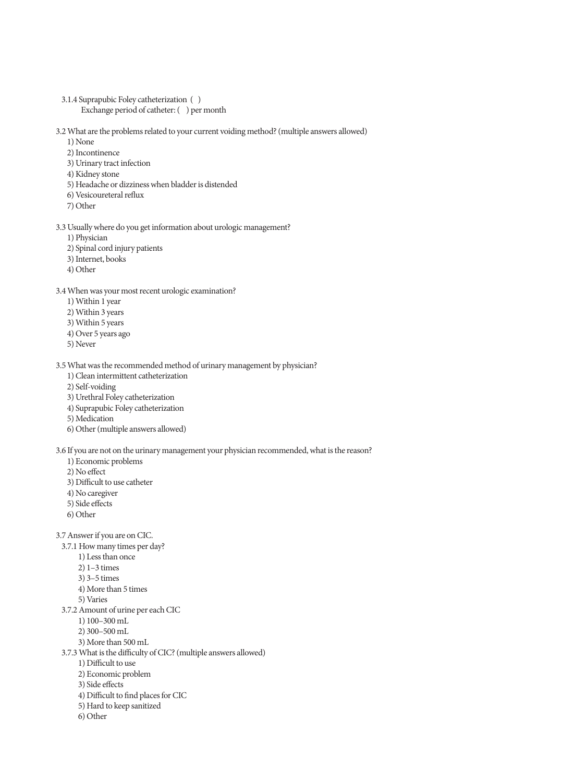3.1.4 Suprapubic Foley catheterization ( ) Exchange period of catheter: ( ) per month

3.2 What are the problems related to your current voiding method? (multiple answers allowed)

- 1) None
- 2) Incontinence
- 3) Urinary tract infection
- 4) Kidney stone
- 5) Headache or dizziness when bladder is distended
- 6) Vesicoureteral reflux
- 7) Other
- 3.3 Usually where do you get information about urologic management?
	- 1) Physician
	- 2) Spinal cord injury patients
	- 3) Internet, books
	- 4) Other

3.4 When was your most recent urologic examination?

- 1) Within 1 year
- 2) Within 3 years
- 3) Within 5 years
- 4) Over 5 years ago
- 5) Never

3.5 What was the recommended method of urinary management by physician?

- 1) Clean intermittent catheterization
- 2) Self-voiding
- 3) Urethral Foley catheterization
- 4) Suprapubic Foley catheterization
- 5) Medication
- 6) Other (multiple answers allowed)

3.6 If you are not on the urinary management your physician recommended, what is the reason?

- 1) Economic problems
- 2) No effect
- 3) Difficult to use catheter
- 4) No caregiver
- 5) Side effects
- 6) Other

3.7 Answer if you are on CIC.

- 3.7.1 How many times per day?
	- 1) Less than once
	- 2) 1–3 times
	- 3) 3–5 times
	- 4) More than 5 times
	- 5) Varies
- 3.7.2 Amount of urine per each CIC
	- 1) 100–300 mL
	- 2) 300–500 mL
	- 3) More than 500 mL
- 3.7.3 What is the difficulty of CIC? (multiple answers allowed)
	- 1) Difficult to use
	- 2) Economic problem
	- 3) Side effects
	- 4) Difficult to find places for CIC
	- 5) Hard to keep sanitized
	- 6) Other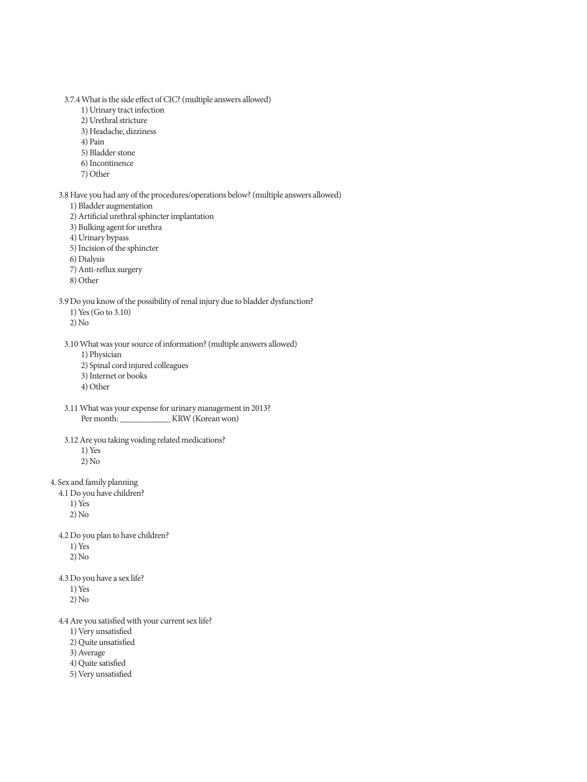3.7.4 What is the side effect of CIC? (multiple answers allowed)

- 1) Urinary tract infection
- 2) Urethral stricture
- 3) Headache, dizziness
- 4) Pain
- 5) Bladder stone
- 6) Incontinence
- 7) Other
- 3.8 Have you had any of the procedures/operations below? (multiple answers allowed)
	- 1) Bladder augmentation
	- 2) Artificial urethral sphincter implantation
	- 3) Bulking agent for urethra
	- 4) Urinary bypass
	- 5) Incision of the sphincter
	- 6) Dialysis
	- 7) Anti-reflux surgery
	- 8) Other

#### 3.9 Do you know of the possibility of renal injury due to bladder dysfunction?

- 1) Yes (Go to 3.10)
- 2) No

3.10 What was your source of information? (multiple answers allowed)

- 1) Physician
- 2) Spinal cord injured colleagues
- 3) Internet or books
- 4) Other
- 3.11 What was your expense for urinary management in 2013? Per month: \_\_\_\_\_\_\_\_\_\_\_\_\_ KRW (Korean won)
- 3.12 Are you taking voiding related medications? 1) Yes 2) No
- 4. Sex and family planning
	- 4.1 Do you have children?
		- $1)$  Yes

2) No

- 4.2 Do you plan to have children?
	- 1) Yes 2) No
- 4.3 Do you have a sex life?
	- 1) Yes
	- 2) No
- 4.4 Are you satisfied with your current sex life?
	- 1) Very unsatisfied
	- 2) Quite unsatisfied
	- 3) Average
	- 4) Quite satisfied
	- 5) Very unsatisfied